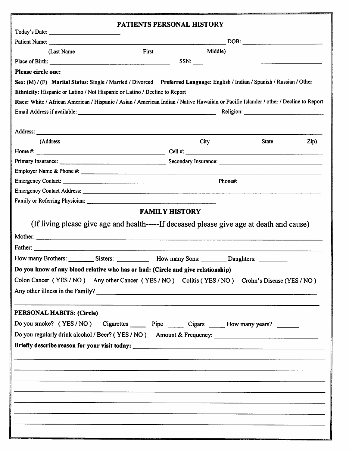|                                                                                                                                                                                                                                                                              | PATIENTS PERSONAL HISTORY |         |                                                                                                                        |      |
|------------------------------------------------------------------------------------------------------------------------------------------------------------------------------------------------------------------------------------------------------------------------------|---------------------------|---------|------------------------------------------------------------------------------------------------------------------------|------|
|                                                                                                                                                                                                                                                                              |                           |         |                                                                                                                        |      |
|                                                                                                                                                                                                                                                                              |                           |         | DOB:                                                                                                                   |      |
| (Last Name)                                                                                                                                                                                                                                                                  | First                     | Middle) |                                                                                                                        |      |
|                                                                                                                                                                                                                                                                              |                           |         |                                                                                                                        |      |
| Please circle one:                                                                                                                                                                                                                                                           |                           |         |                                                                                                                        |      |
| Sex: (M) / (F) Marital Status: Single / Married / Divorced Preferred Language: English / Indian / Spanish / Russian / Other                                                                                                                                                  |                           |         |                                                                                                                        |      |
| Ethnicity: Hispanic or Latino / Not Hispanic or Latino / Decline to Report                                                                                                                                                                                                   |                           |         |                                                                                                                        |      |
| Race: White / African American / Hispanic / Asian / American Indian / Native Hawaiian or Pacific Islander / other / Decline to Report                                                                                                                                        |                           |         |                                                                                                                        |      |
|                                                                                                                                                                                                                                                                              |                           |         |                                                                                                                        |      |
|                                                                                                                                                                                                                                                                              |                           |         |                                                                                                                        |      |
|                                                                                                                                                                                                                                                                              |                           |         |                                                                                                                        |      |
| (Address                                                                                                                                                                                                                                                                     |                           | City    | State                                                                                                                  | Zip) |
| Home #: $\frac{1}{2}$ Cell #: $\frac{1}{2}$ Cell #: $\frac{1}{2}$ Cell #: $\frac{1}{2}$ Cell #: $\frac{1}{2}$ Cell #: $\frac{1}{2}$ Cell #: $\frac{1}{2}$ Cell #: $\frac{1}{2}$ Cell #: $\frac{1}{2}$ Cell #: $\frac{1}{2}$ Cell #: $\frac{1}{2}$ Cell #: $\frac{1}{2}$ Cell |                           |         |                                                                                                                        |      |
|                                                                                                                                                                                                                                                                              |                           |         |                                                                                                                        |      |
| Employer Name & Phone #: $\qquad \qquad$                                                                                                                                                                                                                                     |                           |         |                                                                                                                        |      |
|                                                                                                                                                                                                                                                                              |                           |         |                                                                                                                        |      |
|                                                                                                                                                                                                                                                                              |                           |         |                                                                                                                        |      |
|                                                                                                                                                                                                                                                                              |                           |         |                                                                                                                        |      |
|                                                                                                                                                                                                                                                                              | <b>FAMILY HISTORY</b>     |         |                                                                                                                        |      |
| (If living please give age and health------If deceased please give age at death and cause)                                                                                                                                                                                   |                           |         |                                                                                                                        |      |
|                                                                                                                                                                                                                                                                              |                           |         |                                                                                                                        |      |
|                                                                                                                                                                                                                                                                              |                           |         |                                                                                                                        |      |
| How many Brothers: Sisters: Sisters: How many Sons: Daughters: 2013                                                                                                                                                                                                          |                           |         |                                                                                                                        |      |
|                                                                                                                                                                                                                                                                              |                           |         |                                                                                                                        |      |
| Do you know of any blood relative who has or had: (Circle and give relationship)                                                                                                                                                                                             |                           |         |                                                                                                                        |      |
| Colon Cancer (YES/NO) Any other Cancer (YES/NO) Colitis (YES/NO) Crohn's Disease (YES/NO)                                                                                                                                                                                    |                           |         |                                                                                                                        |      |
|                                                                                                                                                                                                                                                                              |                           |         |                                                                                                                        |      |
|                                                                                                                                                                                                                                                                              |                           |         |                                                                                                                        |      |
| <b>PERSONAL HABITS: (Circle)</b>                                                                                                                                                                                                                                             |                           |         |                                                                                                                        |      |
| Do you smoke? (YES/NO) Cigarettes Pipe Cigars Cigars Mow many years?                                                                                                                                                                                                         |                           |         |                                                                                                                        |      |
|                                                                                                                                                                                                                                                                              |                           |         |                                                                                                                        |      |
|                                                                                                                                                                                                                                                                              |                           |         |                                                                                                                        |      |
|                                                                                                                                                                                                                                                                              |                           |         |                                                                                                                        |      |
|                                                                                                                                                                                                                                                                              |                           |         |                                                                                                                        |      |
|                                                                                                                                                                                                                                                                              |                           |         |                                                                                                                        |      |
|                                                                                                                                                                                                                                                                              |                           |         |                                                                                                                        |      |
|                                                                                                                                                                                                                                                                              |                           |         |                                                                                                                        |      |
|                                                                                                                                                                                                                                                                              |                           |         |                                                                                                                        |      |
|                                                                                                                                                                                                                                                                              |                           |         |                                                                                                                        |      |
|                                                                                                                                                                                                                                                                              |                           |         |                                                                                                                        |      |
|                                                                                                                                                                                                                                                                              |                           |         | <u>. 1999 - An Den Marie de Barther Miller e Berger and the Barther Barther en aller and the construction of the s</u> |      |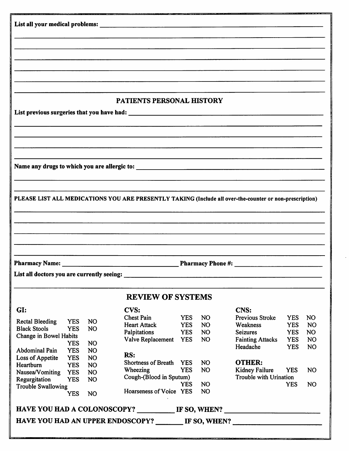|                                                                                                                                                                           |           | <b>PATIENTS PERSONAL HISTORY</b>    |            |                          |                                     |            |                |
|---------------------------------------------------------------------------------------------------------------------------------------------------------------------------|-----------|-------------------------------------|------------|--------------------------|-------------------------------------|------------|----------------|
|                                                                                                                                                                           |           |                                     |            |                          |                                     |            |                |
|                                                                                                                                                                           |           |                                     |            |                          |                                     |            |                |
|                                                                                                                                                                           |           |                                     |            |                          |                                     |            |                |
|                                                                                                                                                                           |           |                                     |            |                          |                                     |            |                |
|                                                                                                                                                                           |           |                                     |            |                          |                                     |            |                |
|                                                                                                                                                                           |           |                                     |            |                          |                                     |            |                |
| Name any drugs to which you are allergic to:                                                                                                                              |           |                                     |            |                          |                                     |            |                |
|                                                                                                                                                                           |           |                                     |            |                          |                                     |            |                |
|                                                                                                                                                                           |           |                                     |            |                          |                                     |            |                |
|                                                                                                                                                                           |           |                                     |            |                          |                                     |            |                |
| PLEASE LIST ALL MEDICATIONS YOU ARE PRESENTLY TAKING (Include all over-the-counter or non-prescription)                                                                   |           |                                     |            |                          |                                     |            |                |
|                                                                                                                                                                           |           |                                     |            |                          |                                     |            |                |
|                                                                                                                                                                           |           |                                     |            |                          |                                     |            |                |
|                                                                                                                                                                           |           |                                     |            |                          |                                     |            |                |
|                                                                                                                                                                           |           |                                     |            |                          |                                     |            |                |
|                                                                                                                                                                           |           |                                     |            |                          |                                     |            |                |
|                                                                                                                                                                           |           |                                     |            |                          |                                     |            |                |
|                                                                                                                                                                           |           |                                     |            |                          |                                     |            |                |
|                                                                                                                                                                           |           |                                     |            |                          |                                     |            |                |
| <b>Pharmacy Name:</b>                                                                                                                                                     |           |                                     |            | <b>Pharmacy Phone #:</b> |                                     |            |                |
|                                                                                                                                                                           |           |                                     |            |                          |                                     |            |                |
|                                                                                                                                                                           |           |                                     |            |                          |                                     |            |                |
|                                                                                                                                                                           |           | <b>REVIEW OF SYSTEMS</b>            |            |                          |                                     |            |                |
|                                                                                                                                                                           |           | <b>CVS:</b>                         |            |                          | <b>CNS:</b>                         |            |                |
| <b>YES</b>                                                                                                                                                                | <b>NO</b> | <b>Chest Pain</b>                   | <b>YES</b> | NO                       | Previous Stroke                     | <b>YES</b> | NO             |
| <b>YES</b>                                                                                                                                                                | NO        | <b>Heart Attack</b>                 | <b>YES</b> | NO                       | Weakness                            | <b>YES</b> | <b>NO</b>      |
|                                                                                                                                                                           |           | Palpitations                        | <b>YES</b> | <b>NO</b>                | Seizures                            | <b>YES</b> | <b>NO</b>      |
| <b>YES</b>                                                                                                                                                                | <b>NO</b> | Valve Replacement YES               |            | NO                       | <b>Fainting Attacks</b><br>Headache | <b>YES</b> | <b>NO</b>      |
| <b>YES</b>                                                                                                                                                                | <b>NO</b> |                                     |            |                          |                                     | <b>YES</b> | <b>NO</b>      |
| <b>YES</b>                                                                                                                                                                | <b>NO</b> | RS:                                 |            | NO                       |                                     |            |                |
| <b>YES</b>                                                                                                                                                                | <b>NO</b> | Shortness of Breath YES<br>Wheezing | <b>YES</b> | NO                       | <b>OTHER:</b><br>Kidney Failure     | <b>YES</b> | N <sub>O</sub> |
| GI:<br><b>Rectal Bleeding</b><br><b>Black Stools</b><br>Change in Bowel Habits<br><b>Abdominal Pain</b><br>Loss of Appetite<br>Heartburn<br>Nausea/Vomiting<br><b>YES</b> | <b>NO</b> | Cough-(Blood in Sputum)             |            |                          | Trouble with Urination              |            |                |
| <b>YES</b>                                                                                                                                                                | <b>NO</b> |                                     | <b>YES</b> | <b>NO</b>                |                                     | <b>YES</b> | <b>NO</b>      |
| <b>YES</b>                                                                                                                                                                | <b>NO</b> | Hoarseness of Voice YES             |            | <b>NO</b>                |                                     |            |                |
| Regurgitation<br><b>Trouble Swallowing</b>                                                                                                                                |           |                                     |            |                          |                                     |            |                |
| HAVE YOU HAD A COLONOSCOPY? _____________ IF SO, WHEN? _________________________                                                                                          |           |                                     |            |                          |                                     |            |                |
| HAVE YOU HAD AN UPPER ENDOSCOPY? ________ IF SO, WHEN? _________________________                                                                                          |           |                                     |            |                          |                                     |            |                |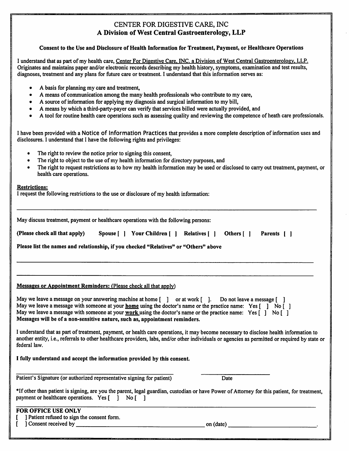## CENTER FOR DIGESTIVE CARE, INC Division of West Central Gastroenterology, LLP

#### Consent to the Use and Disclosure of Health Information for Treatment, Payment, or Healthcare Operations

I understand that as part of my health care, Center For Digestive Care, INC. a Division of West Central Gastroenterology, LLP. Originates and maintains paper and/or electronic records describing my health history, symptoms, examination and test results, diagnoses, treatment and any plans for future care or treatment. I understand that this information serves as:

- A basis for planning my care and treatment,
- means of communication among the many health professionals who contribute to my care,
- A source of information for applying my diagnosis and surgical information to my bill,
- A means by which a third-party-payer can verify that services billed were actually provided, and
- tool for routine health care operations such as assessing quality and reviewing the competence of heath care professionals.

I have been provided with a Notice of Information Practices that provides a more complete description of information uses and disclosures. I understand that I have the following rights and privileges:

- The right to review the notice prior to signing this consent,
- The right to object to the use of my health information for directory purposes, and  $\bullet$
- The right to request restrictions as to how my health information may be used or disclosed to carry out treatment, payment, or health care operations.

#### Restrictions:

request the following restrictions to the use or disclosure of my health information:

| May discuss treatment, payment or healthcare operations with the following persons: |  |  |  |  |  |  |  |  |
|-------------------------------------------------------------------------------------|--|--|--|--|--|--|--|--|
|-------------------------------------------------------------------------------------|--|--|--|--|--|--|--|--|

| (Please check all that apply) |  | Spouse [ ] Your Children [ ] Relatives [ ] Others [ ] Parents [ ] |  |  |  |  |
|-------------------------------|--|-------------------------------------------------------------------|--|--|--|--|
|-------------------------------|--|-------------------------------------------------------------------|--|--|--|--|

Please list the names and relationship, if you checked "Relatives" or "Others" above

#### Messages or Appointment Reminders; (Please check all that apply)

| May we leave a message on your answering machine at home $\lceil \quad \rceil$ or at work $\lceil \quad \rceil$ .<br>Do not leave a message [ ] |  |  |
|-------------------------------------------------------------------------------------------------------------------------------------------------|--|--|
| May we leave a message with someone at your home using the doctor's name or the practice name: Yes [ ] No [                                     |  |  |
| May we leave a message with someone at your <b>work</b> using the doctor's name or the practice name: Yes $[$ ] No $[$ ]                        |  |  |
| Messages will be of a non-sensitive nature, such as, appointment reminders.                                                                     |  |  |

understand that as part of treatment, payment, or health care operations, it may become necessary to disclose health information to another entity, i.e., referrals to other healthcare providers, labs, and/or other individuals or agencies as permitted or required by state or federal law.

### fully understand and accept the information provided by this consent.

Patient's Signature (or authorized representative signing for patient) Date

| *If other than patient is signing, are you the parent, legal guardian, custodian or have Power of Attorney for this patient, for treatment, |  |  |  |  |
|---------------------------------------------------------------------------------------------------------------------------------------------|--|--|--|--|
| payment or healthcare operations. Yes [ ] No [ ]                                                                                            |  |  |  |  |

### FOR OFFICE USE ONLY

Patient refused to sign the consent form.  $\begin{bmatrix} 1 \end{bmatrix}$  Consent received by  $\begin{bmatrix} 0 \end{bmatrix}$  Consent received by  $\begin{bmatrix} 0 \end{bmatrix}$  Consent received by  $\begin{bmatrix} 0 \end{bmatrix}$ 

 $\mathsf{L}$